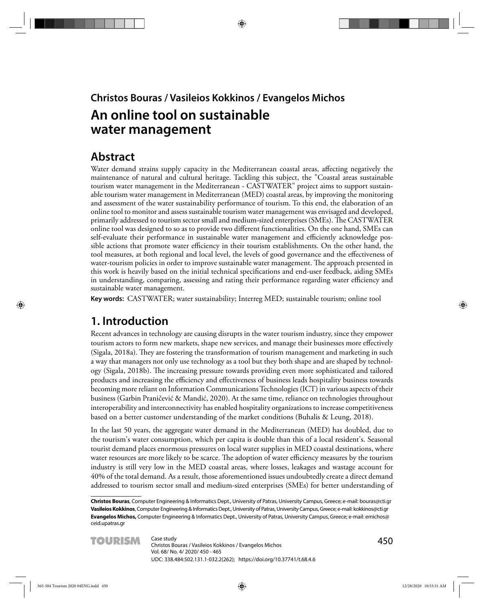## **Christos Bouras / Vasileios Kokkinos / Evangelos Michos An online tool on sustainable water management**

## **Abstract**

Water demand strains supply capacity in the Mediterranean coastal areas, affecting negatively the maintenance of natural and cultural heritage. Tackling this subject, the "Coastal areas sustainable tourism water management in the Mediterranean - CASTWATER" project aims to support sustainable tourism water management in Mediterranean (MED) coastal areas, by improving the monitoring and assessment of the water sustainability performance of tourism. To this end, the elaboration of an online tool to monitor and assess sustainable tourism water management was envisaged and developed, primarily addressed to tourism sector small and medium-sized enterprises (SMEs). The CASTWATER online tool was designed to so as to provide two different functionalities. On the one hand, SMEs can self-evaluate their performance in sustainable water management and efficiently acknowledge possible actions that promote water efficiency in their tourism establishments. On the other hand, the tool measures, at both regional and local level, the levels of good governance and the effectiveness of water-tourism policies in order to improve sustainable water management. The approach presented in this work is heavily based on the initial technical specifications and end-user feedback, aiding SMEs in understanding, comparing, assessing and rating their performance regarding water efficiency and sustainable water management.

**Key words:** CASTWATER; water sustainability; Interreg MED; sustainable tourism; online tool

## **1. Introduction**

Recent advances in technology are causing disrupts in the water tourism industry, since they empower tourism actors to form new markets, shape new services, and manage their businesses more effectively (Sigala, 2018a). They are fostering the transformation of tourism management and marketing in such a way that managers not only use technology as a tool but they both shape and are shaped by technology (Sigala, 2018b). The increasing pressure towards providing even more sophisticated and tailored products and increasing the efficiency and effectiveness of business leads hospitality business towards becoming more reliant on Information Communications Technologies (ICT) in various aspects of their business (Garbin Praničević & Mandić, 2020). At the same time, reliance on technologies throughout interoperability and interconnectivity has enabled hospitality organizations to increase competitiveness based on a better customer understanding of the market conditions (Buhalis & Leung, 2018).

In the last 50 years, the aggregate water demand in the Mediterranean (MED) has doubled, due to the tourism's water consumption, which per capita is double than this of a local resident's. Seasonal tourist demand places enormous pressures on local water supplies in MED coastal destinations, where water resources are more likely to be scarce. The adoption of water efficiency measures by the tourism industry is still very low in the MED coastal areas, where losses, leakages and wastage account for 40% of the total demand. As a result, those aforementioned issues undoubtedly create a direct demand addressed to tourism sector small and medium-sized enterprises (SMEs) for better understanding of

**Christos Bouras**, Computer Engineering & Informatics Dept., University of Patras, University Campus, Greece; e-mail: bouras@cti.gr **Vasileios Kokkinos**, Computer Engineering & Informatics Dept., University of Patras, University Campus, Greece; e-mail: kokkinos@cti.gr **Evangelos Michos,** Computer Engineering & Informatics Dept., University of Patras, University Campus, Greece; e-mail: emichos@ ceid.upatras.gr

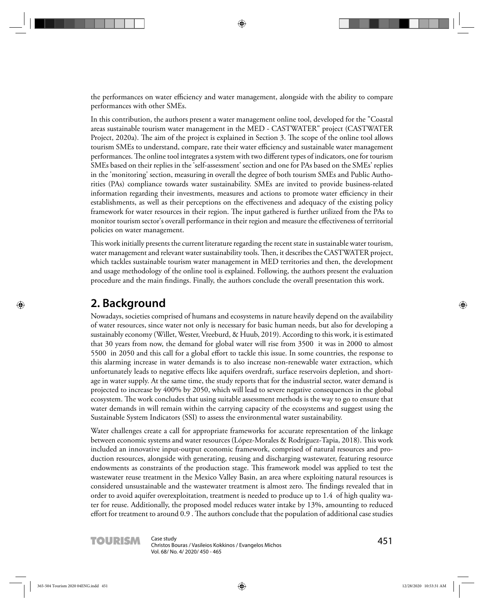the performances on water efficiency and water management, alongside with the ability to compare performances with other SMEs.

In this contribution, the authors present a water management online tool, developed for the "Coastal areas sustainable tourism water management in the MED - CASTWATER" project (CASTWATER Project, 2020a). The aim of the project is explained in Section 3. The scope of the online tool allows tourism SMEs to understand, compare, rate their water efficiency and sustainable water management performances. The online tool integrates a system with two different types of indicators, one for tourism SMEs based on their replies in the 'self-assessment' section and one for PAs based on the SMEs' replies in the 'monitoring' section, measuring in overall the degree of both tourism SMEs and Public Authorities (PAs) compliance towards water sustainability. SMEs are invited to provide business-related information regarding their investments, measures and actions to promote water efficiency in their establishments, as well as their perceptions on the effectiveness and adequacy of the existing policy framework for water resources in their region. The input gathered is further utilized from the PAs to monitor tourism sector's overall performance in their region and measure the effectiveness of territorial policies on water management.

This work initially presents the current literature regarding the recent state in sustainable water tourism, water management and relevant water sustainability tools. Then, it describes the CASTWATER project, which tackles sustainable tourism water management in MED territories and then, the development and usage methodology of the online tool is explained. Following, the authors present the evaluation procedure and the main findings. Finally, the authors conclude the overall presentation this work.

## **2. Background**

Nowadays, societies comprised of humans and ecosystems in nature heavily depend on the availability of water resources, since water not only is necessary for basic human needs, but also for developing a sustainably economy (Willet, Wester, Vreeburd, & Huub, 2019). According to this work, it is estimated that 30 years from now, the demand for global water will rise from 3500 it was in 2000 to almost 5500 in 2050 and this call for a global effort to tackle this issue. In some countries, the response to this alarming increase in water demands is to also increase non-renewable water extraction, which unfortunately leads to negative effects like aquifers overdraft, surface reservoirs depletion, and shortage in water supply. At the same time, the study reports that for the industrial sector, water demand is projected to increase by 400% by 2050, which will lead to severe negative consequences in the global ecosystem. The work concludes that using suitable assessment methods is the way to go to ensure that water demands in will remain within the carrying capacity of the ecosystems and suggest using the Sustainable System Indicators (SSI) to assess the environmental water sustainability.

Water challenges create a call for appropriate frameworks for accurate representation of the linkage between economic systems and water resources (López-Morales & Rodríguez-Tapia, 2018). This work included an innovative input-output economic framework, comprised of natural resources and production resources, alongside with generating, reusing and discharging wastewater, featuring resource endowments as constraints of the production stage. This framework model was applied to test the wastewater reuse treatment in the Mexico Valley Basin, an area where exploiting natural resources is considered unsustainable and the wastewater treatment is almost zero. The findings revealed that in order to avoid aquifer overexploitation, treatment is needed to produce up to 1.4 of high quality water for reuse. Additionally, the proposed model reduces water intake by 13%, amounting to reduced effort for treatment to around 0.9. The authors conclude that the population of additional case studies

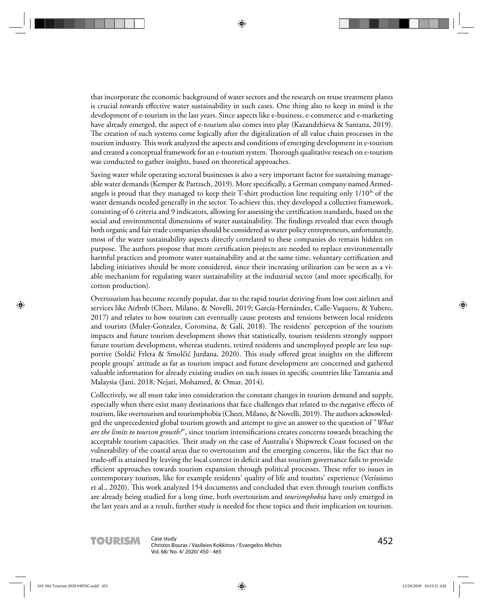that incorporate the economic background of water sectors and the research on reuse treatment plants is crucial towards effective water sustainability in such cases. One thing also to keep in mind is the development of e-tourism in the last years. Since aspects like e-business, e-commerce and e-marketing have already emerged, the aspect of e-tourism also comes into play (Kazandzhieva & Santana, 2019). The creation of such systems come logically after the digitalization of all value chain processes in the tourism industry. This work analyzed the aspects and conditions of emerging development in e-tourism and created a conceptual framework for an e-tourism system. Thorough qualitative reseach on e-tourism was conducted to gather insights, based on theoretical approaches.

Saving water while operating sectoral businesses is also a very important factor for sustaining manageable water demands (Kemper & Partzsch, 2019). More specifically, a German company named Armedangels is proud that they managed to keep their T-shirt production line requiring only  $1/10<sup>th</sup>$  of the water demands needed generally in the sector. To achieve this, they developed a collective framework, consisting of 6 criteria and 9 indicators, allowing for assessing the certification standards, based on the social and environmental dimensions of water sustainability. The findings revealed that even though both organic and fair trade companies should be considered as water policy entrepreneurs, unfortunately, most of the water sustainability aspects directly correlated to these companies do remain hidden on purpose. The authors propose that more certification projects are needed to replace environmentally harmful practices and promote water sustainability and at the same time, voluntary certification and labeling initiatives should be more considered, since their increasing utilization can be seen as a viable mechanism for regulating water sustainability at the industrial sector (and more specifically, for cotton production).

Overtourism has become recently popular, due to the rapid tourist deriving from low cost airlines and services like Airbnb (Cheer, Milano, & Novelli, 2019; García-Hernández, Calle-Vaquero, & Yubero, 2017) and relates to how tourism can eventually cause protests and tensions between local residents and tourists (Muler-Gonzalez, Coromina, & Galí, 2018). The residents' perception of the tourism impacts and future tourism development shows that statistically, tourism residents strongly support future tourism development, whereas students, retired residents and unemployed people are less supportive (Soldić Frleta & Smolčić Jurdana, 2020). This study offered great insights on the different people groups' attitude as far as tourism impact and future development are concerned and gathered valuable information for already existing studies on such issues in specific countries like Tanzania and Malaysia (Jani, 2018; Nejati, Mohamed, & Omar, 2014).

Collectively, we all must take into consideration the constant changes in tourism demand and supply, especially when there exist many destinations that face challenges that related to the negative effects of tourism, like overtourism and tourismphobia (Cheer, Milano, & Novelli, 2019). The authors acknowledged the unprecedented global tourism growth and attempt to give an answer to the question of "*What are the limits to tourism growth?*", since tourism intensifications creates concerns towards breaching the acceptable tourism capacities. Their study on the case of Australia's Shipwreck Coast focused on the vulnerability of the coastal areas due to overtourism and the emerging concerns, like the fact that no trade-off is attained by leaving the local context in deficit and that tourism governance fails to provide efficient approaches towards tourism expansion through political processes. These refer to issues in contemporary tourism, like for example residents' quality of life and tourists' experience (Veríssimo et al., 2020). This work analyzed 154 documents and concluded that even through tourism conflicts are already being studied for a long time, both overtourism and *tourismphobia* have only emerged in the last years and as a result, further study is needed for these topics and their implication on tourism.

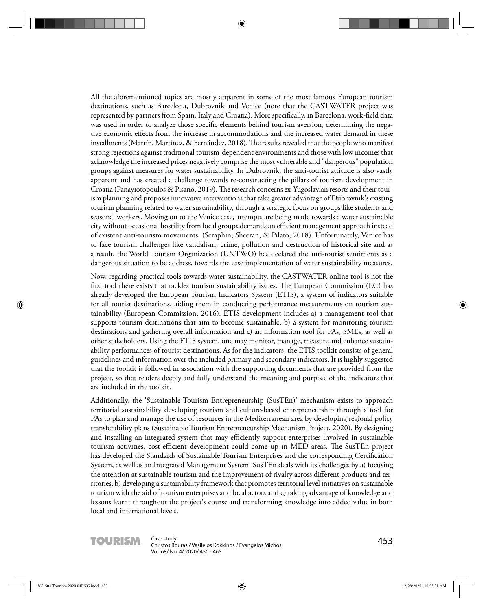All the aforementioned topics are mostly apparent in some of the most famous European tourism destinations, such as Barcelona, Dubrovnik and Venice (note that the CASTWATER project was represented by partners from Spain, Italy and Croatia). More specifically, in Barcelona, work-field data was used in order to analyze those specific elements behind tourism aversion, determining the negative economic effects from the increase in accommodations and the increased water demand in these installments (Martín, Martínez, & Fernández, 2018). The results revealed that the people who manifest strong rejections against traditional tourism-dependent environments and those with low incomes that acknowledge the increased prices negatively comprise the most vulnerable and "dangerous" population groups against measures for water sustainability. In Dubrovnik, the anti-tourist attitude is also vastly apparent and has created a challenge towards re-constructing the pillars of tourism development in Croatia (Panayiotopoulos & Pisano, 2019). The research concerns ex-Yugoslavian resorts and their tourism planning and proposes innovative interventions that take greater advantage of Dubrovnik's existing tourism planning related to water sustainability, through a strategic focus on groups like students and seasonal workers. Moving on to the Venice case, attempts are being made towards a water sustainable city without occasional hostility from local groups demands an efficient management approach instead of existent anti-tourism movements (Seraphin, Sheeran, & Pilato, 2018). Unfortunately, Venice has to face tourism challenges like vandalism, crime, pollution and destruction of historical site and as a result, the World Tourism Organization (UNTWO) has declared the anti-tourist sentiments as a dangerous situation to be address, towards the ease implementation of water sustainability measures.

Now, regarding practical tools towards water sustainability, the CASTWATER online tool is not the first tool there exists that tackles tourism sustainability issues. The European Commission (EC) has already developed the European Tourism Indicators System (ETIS), a system of indicators suitable for all tourist destinations, aiding them in conducting performance measurements on tourism sustainability (European Commission, 2016). ETIS development includes a) a management tool that supports tourism destinations that aim to become sustainable, b) a system for monitoring tourism destinations and gathering overall information and c) an information tool for PAs, SMEs, as well as other stakeholders. Using the ETIS system, one may monitor, manage, measure and enhance sustainability performances of tourist destinations. As for the indicators, the ETIS toolkit consists of general guidelines and information over the included primary and secondary indicators. It is highly suggested that the toolkit is followed in association with the supporting documents that are provided from the project, so that readers deeply and fully understand the meaning and purpose of the indicators that are included in the toolkit.

Additionally, the 'Sustainable Tourism Entrepreneurship (SusTEn)' mechanism exists to approach territorial sustainability developing tourism and culture-based entrepreneurship through a tool for PAs to plan and manage the use of resources in the Mediterranean area by developing regional policy transferability plans (Sustainable Tourism Entrepreneurship Mechanism Project, 2020). By designing and installing an integrated system that may efficiently support enterprises involved in sustainable tourism activities, cost-efficient development could come up in MED areas. The SusTEn project has developed the Standards of Sustainable Tourism Enterprises and the corresponding Certification System, as well as an Integrated Management System. SusTEn deals with its challenges by a) focusing the attention at sustainable tourism and the improvement of rivalry across different products and territories, b) developing a sustainability framework that promotes territorial level initiatives on sustainable tourism with the aid of tourism enterprises and local actors and c) taking advantage of knowledge and lessons learnt throughout the project's course and transforming knowledge into added value in both local and international levels.

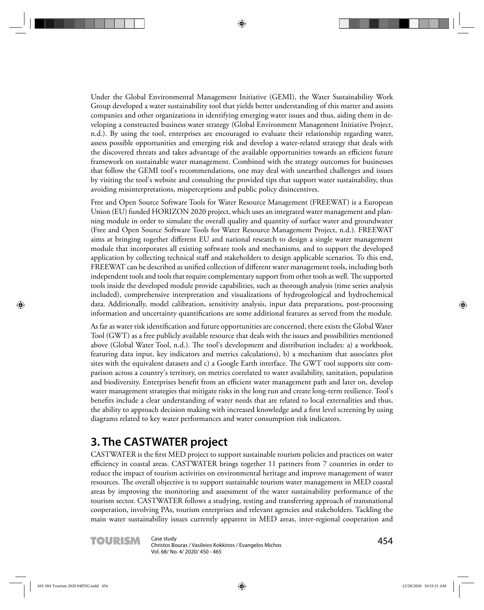Under the Global Environmental Management Initiative (GEMI), the Water Sustainability Work Group developed a water sustainability tool that yields better understanding of this matter and assists companies and other organizations in identifying emerging water issues and thus, aiding them in developing a constructed business water strategy (Global Environment Management Initiative Project, n.d.). By using the tool, enterprises are encouraged to evaluate their relationship regarding water, assess possible opportunities and emerging risk and develop a water-related strategy that deals with the discovered threats and takes advantage of the available opportunities towards an efficient future framework on sustainable water management. Combined with the strategy outcomes for businesses that follow the GEMI tool's recommendations, one may deal with unearthed challenges and issues by visiting the tool's website and consulting the provided tips that support water sustainability, thus avoiding misinterpretations, misperceptions and public policy disincentives.

Free and Open Source Software Tools for Water Resource Management (FREEWAT) is a European Union (EU) funded HORIZON 2020 project, which uses an integrated water management and planning module in order to simulate the overall quality and quantity of surface water and groundwater (Free and Open Source Software Tools for Water Resource Management Project, n.d.). FREEWAT aims at bringing together different EU and national research to design a single water management module that incorporates all existing software tools and mechanisms, and to support the developed application by collecting technical staff and stakeholders to design applicable scenarios. To this end, FREEWAT can be described as unified collection of different water management tools, including both independent tools and tools that require complementary support from other tools as well. The supported tools inside the developed module provide capabilities, such as thorough analysis (time series analysis included), comprehensive interpretation and visualizations of hydrogeological and hydrochemical data. Additionally, model calibration, sensitivity analysis, input data preparations, post-processing information and uncertainty quantifications are some additional features as served from the module.

As far as water risk identification and future opportunities are concerned, there exists the Global Water Tool (GWT) as a free publicly available resource that deals with the issues and possibilities mentioned above (Global Water Tool, n.d.). The tool's development and distribution includes: a) a workbook, featuring data input, key indicators and metrics calculations), b) a mechanism that associates plot sites with the equivalent datasets and c) a Google Earth interface. The GWT tool supports site comparison across a country's territory, on metrics correlated to water availability, sanitation, population and biodiversity. Enterprises benefit from an efficient water management path and later on, develop water management strategies that mitigate risks in the long run and create long-term resilience. Tool's benefits include a clear understanding of water needs that are related to local externalities and thus, the ability to approach decision making with increased knowledge and a first level screening by using diagrams related to key water performances and water consumption risk indicators.

## **3. The CASTWATER project**

CASTWATER is the first MED project to support sustainable tourism policies and practices on water efficiency in coastal areas. CASTWATER brings together 11 partners from 7 countries in order to reduce the impact of tourism activities on environmental heritage and improve management of water resources. The overall objective is to support sustainable tourism water management in MED coastal areas by improving the monitoring and assessment of the water sustainability performance of the tourism sector. CASTWATER follows a studying, testing and transferring approach of transnational cooperation, involving PAs, tourism enterprises and relevant agencies and stakeholders. Tackling the main water sustainability issues currently apparent in MED areas, inter-regional cooperation and

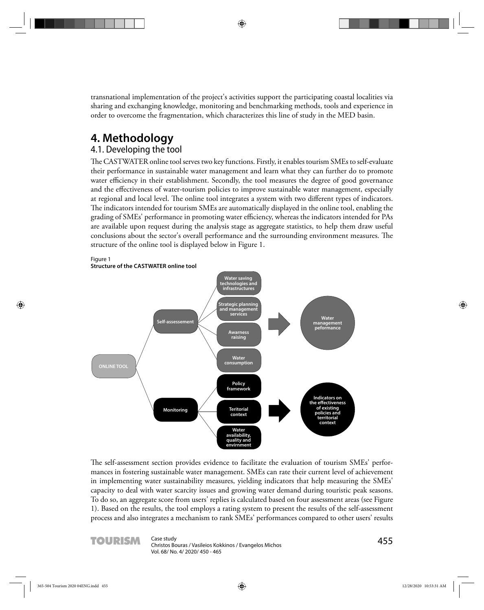transnational implementation of the project's activities support the participating coastal localities via sharing and exchanging knowledge, monitoring and benchmarking methods, tools and experience in order to overcome the fragmentation, which characterizes this line of study in the MED basin.

## **4. Methodology**

### 4.1. Developing the tool

The CASTWATER online tool serves two key functions. Firstly, it enables tourism SMEs to self-evaluate their performance in sustainable water management and learn what they can further do to promote water efficiency in their establishment. Secondly, the tool measures the degree of good governance and the effectiveness of water-tourism policies to improve sustainable water management, especially at regional and local level. The online tool integrates a system with two different types of indicators. The indicators intended for tourism SMEs are automatically displayed in the online tool, enabling the grading of SMEs' performance in promoting water efficiency, whereas the indicators intended for PAs are available upon request during the analysis stage as aggregate statistics, to help them draw useful conclusions about the sector's overall performance and the surrounding environment measures. The structure of the online tool is displayed below in Figure 1.



The self-assessment section provides evidence to facilitate the evaluation of tourism SMEs' performances in fostering sustainable water management. SMEs can rate their current level of achievement in implementing water sustainability measures, yielding indicators that help measuring the SMEs' capacity to deal with water scarcity issues and growing water demand during touristic peak seasons. To do so, an aggregate score from users' replies is calculated based on four assessment areas (see Figure 1). Based on the results, the tool employs a rating system to present the results of the self-assessment process and also integrates a mechanism to rank SMEs' performances compared to other users' results

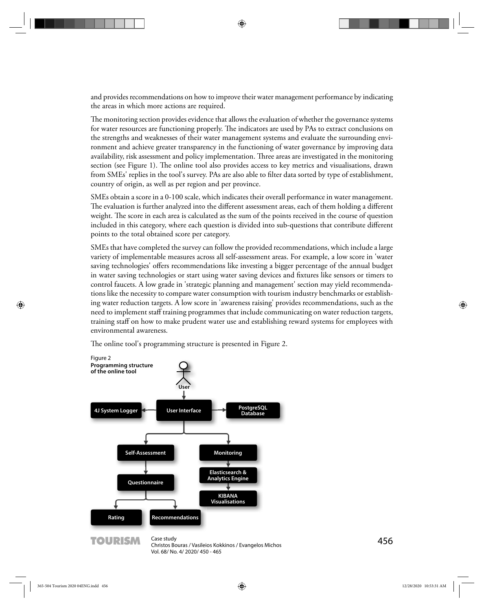and provides recommendations on how to improve their water management performance by indicating the areas in which more actions are required.

The monitoring section provides evidence that allows the evaluation of whether the governance systems for water resources are functioning properly. The indicators are used by PAs to extract conclusions on the strengths and weaknesses of their water management systems and evaluate the surrounding environment and achieve greater transparency in the functioning of water governance by improving data availability, risk assessment and policy implementation. Three areas are investigated in the monitoring section (see Figure 1). The online tool also provides access to key metrics and visualisations, drawn from SMEs' replies in the tool's survey. PAs are also able to filter data sorted by type of establishment, country of origin, as well as per region and per province.

SMEs obtain a score in a 0-100 scale, which indicates their overall performance in water management. The evaluation is further analyzed into the different assessment areas, each of them holding a different weight. The score in each area is calculated as the sum of the points received in the course of question included in this category, where each question is divided into sub-questions that contribute different points to the total obtained score per category.

SMEs that have completed the survey can follow the provided recommendations, which include a large variety of implementable measures across all self-assessment areas. For example, a low score in 'water saving technologies' offers recommendations like investing a bigger percentage of the annual budget in water saving technologies or start using water saving devices and fixtures like sensors or timers to control faucets. A low grade in 'strategic planning and management' section may yield recommendations like the necessity to compare water consumption with tourism industry benchmarks or establishing water reduction targets. A low score in 'awareness raising' provides recommendations, such as the need to implement staff training programmes that include communicating on water reduction targets, training staff on how to make prudent water use and establishing reward systems for employees with environmental awareness.

The online tool's programming structure is presented in Figure 2.

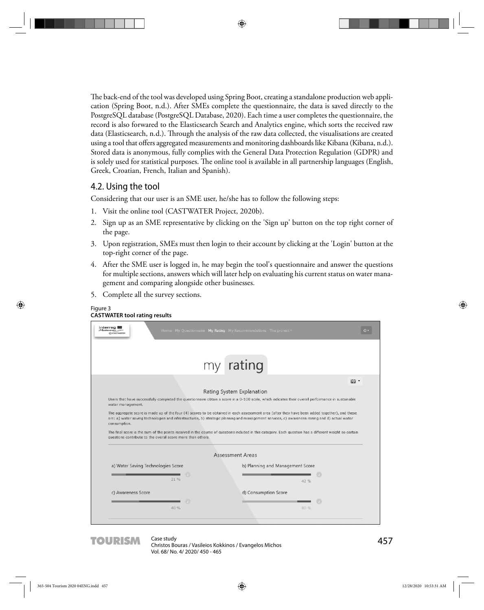The back-end of the tool was developed using Spring Boot, creating a standalone production web application (Spring Boot, n.d.). After SMEs complete the questionnaire, the data is saved directly to the PostgreSQL database (PostgreSQL Database, 2020). Each time a user completes the questionnaire, the record is also forwared to the Elasticsearch Search and Analytics engine, which sorts the received raw data (Elasticsearch, n.d.). Through the analysis of the raw data collected, the visualisations are created using a tool that offers aggregated measurements and monitoring dashboards like Kibana (Kibana, n.d.). Stored data is anonymous, fully complies with the General Data Protection Regulation (GDPR) and is solely used for statistical purposes. The online tool is available in all partnership languages (English, Greek, Croatian, French, Italian and Spanish).

### 4.2. Using the tool

Considering that our user is an SME user, he/she has to follow the following steps:

- 1. Visit the online tool (CASTWATER Project, 2020b).
- 2. Sign up as an SME representative by clicking on the 'Sign up' button on the top right corner of the page.
- 3. Upon registration, SMEs must then login to their account by clicking at the 'Login' button at the top-right corner of the page.
- 4. After the SME user is logged in, he may begin the tool's questionnaire and answer the questions for multiple sections, answers which will later help on evaluating his current status on water management and comparing alongside other businesses.
- 5. Complete all the survey sections.

Figure 3

| <b>Interreg</b><br>Mediterranean<br>C CASTWATER                                                                                                                                                                                                                                                                                      | Home My Questionnaire My Rating My Recommendations The project . |                                                                                                                                                    |     |
|--------------------------------------------------------------------------------------------------------------------------------------------------------------------------------------------------------------------------------------------------------------------------------------------------------------------------------------|------------------------------------------------------------------|----------------------------------------------------------------------------------------------------------------------------------------------------|-----|
|                                                                                                                                                                                                                                                                                                                                      | my rating                                                        |                                                                                                                                                    |     |
|                                                                                                                                                                                                                                                                                                                                      |                                                                  |                                                                                                                                                    | 器 - |
|                                                                                                                                                                                                                                                                                                                                      | Rating System Explanation                                        |                                                                                                                                                    |     |
|                                                                                                                                                                                                                                                                                                                                      |                                                                  | Users that have successfully completed the questionnaire obtain a score in a 0-100 scale, which indicates their overall performance in sustainable |     |
| water management.<br>The aggregate score is made up of the four (4) scores to be obtained in each assessment area (after they have been added together), and these<br>are: a) water saving technologies and infrastructures, b) strategic planning and management services, c) awareness raising and d) actual water<br>consumption. |                                                                  |                                                                                                                                                    |     |
| The final score is the sum of the points received in the course of questions included in this category. Each question has a different weight so certain<br>questions contribute to the overall score more than others.                                                                                                               | <b>Assessment Areas</b>                                          |                                                                                                                                                    |     |
|                                                                                                                                                                                                                                                                                                                                      |                                                                  |                                                                                                                                                    |     |
| a) Water Saving Technologies Score<br>21.96                                                                                                                                                                                                                                                                                          |                                                                  | b) Planning and Management Score<br>42%                                                                                                            |     |
| c) Awareness Score                                                                                                                                                                                                                                                                                                                   | d) Consumption Score                                             |                                                                                                                                                    |     |
|                                                                                                                                                                                                                                                                                                                                      |                                                                  |                                                                                                                                                    |     |

TOURISM Case study<br>
Christos Bouras / Vasileios Kokkinos / Evangelos Michos **Christopher Contrary 1980** Vol. 68/ No. 4/ 2020/ 450 - 465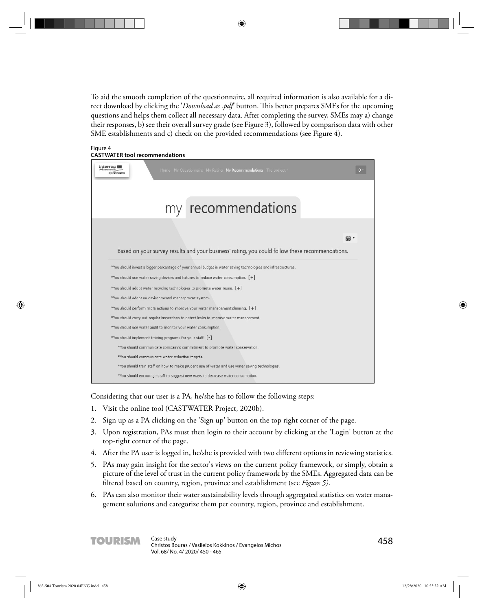To aid the smooth completion of the questionnaire, all required information is also available for a direct download by clicking the '*Download as .pdf*' button. This better prepares SMEs for the upcoming questions and helps them collect all necessary data. After completing the survey, SMEs may a) change their responses, b) see their overall survey grade (see Figure 3), followed by comparison data with other SME establishments and c) check on the provided recommendations (see Figure 4).

| Figure 4                              |
|---------------------------------------|
| <b>CASTWATER tool recommendations</b> |

| Interrec<br>Home My Questionnaire My Rating My Recommendations The project .<br><b>CASTMATE</b>                |  |
|----------------------------------------------------------------------------------------------------------------|--|
|                                                                                                                |  |
| my recommendations                                                                                             |  |
|                                                                                                                |  |
| 器,                                                                                                             |  |
| Based on your survey results and your business' rating, you could follow these recommendations.                |  |
| *You should invest a bigger percentage of your annual budget in water saving technologies and infrastructures. |  |
| *You should use water saving devices and fixtures to reduce water consumption. $[+]$                           |  |
| *You should adopt water recycling technologies to promote water reuse. [+]                                     |  |
| *You should adopt an environmental management system.                                                          |  |
| *You should perform more actions to improve your water management planning. $[+]$                              |  |
| *You should carry out regular inspections to detect leaks to improve water management.                         |  |
| *You should use water audit to monitor your water consumption.                                                 |  |
| *You should implement training programs for your staff. [-]                                                    |  |
| *You should communicate company's commitment to promote water conservation.                                    |  |
| *You should communicate water reduction targets.                                                               |  |
| *You should train staff on how to make prudent use of water and use water saving technologies.                 |  |
| *You should encourage staff to suggest new ways to decrease water consumption.                                 |  |

Considering that our user is a PA, he/she has to follow the following steps:

- 1. Visit the online tool (CASTWATER Project, 2020b).
- 2. Sign up as a PA clicking on the 'Sign up' button on the top right corner of the page.
- 3. Upon registration, PAs must then login to their account by clicking at the 'Login' button at the top-right corner of the page.
- 4. After the PA user is logged in, he/she is provided with two different options in reviewing statistics.
- 5. PAs may gain insight for the sector's views on the current policy framework, or simply, obtain a picture of the level of trust in the current policy framework by the SMEs. Aggregated data can be filtered based on country, region, province and establishment (see *Figure 5)*.
- 6. PAs can also monitor their water sustainability levels through aggregated statistics on water management solutions and categorize them per country, region, province and establishment.

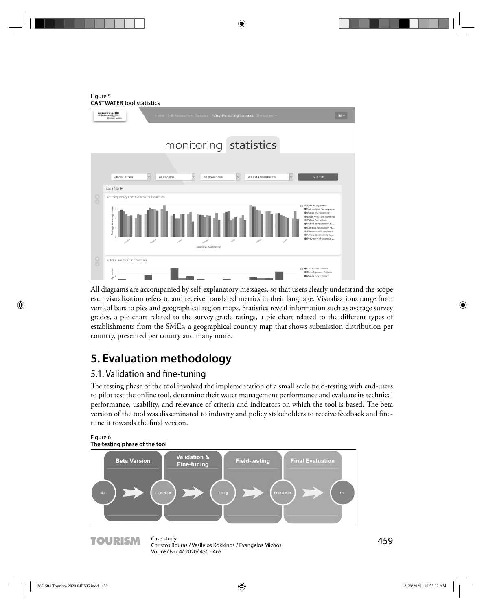Figure 5 **CASTWATER tool statistics**



All diagrams are accompanied by self-explanatory messages, so that users clearly understand the scope each visualization refers to and receive translated metrics in their language. Visualisations range from vertical bars to pies and geographical region maps. Statistics reveal information such as average survey grades, a pie chart related to the survey grade ratings, a pie chart related to the different types of establishments from the SMEs, a geographical country map that shows submission distribution per country, presented per county and many more.

# **5. Evaluation methodology**

### 5.1. Validation and fine-tuning

The testing phase of the tool involved the implementation of a small scale field-testing with end-users to pilot test the online tool, determine their water management performance and evaluate its technical performance, usability, and relevance of criteria and indicators on which the tool is based. The beta version of the tool was disseminated to industry and policy stakeholders to receive feedback and finetune it towards the final version.

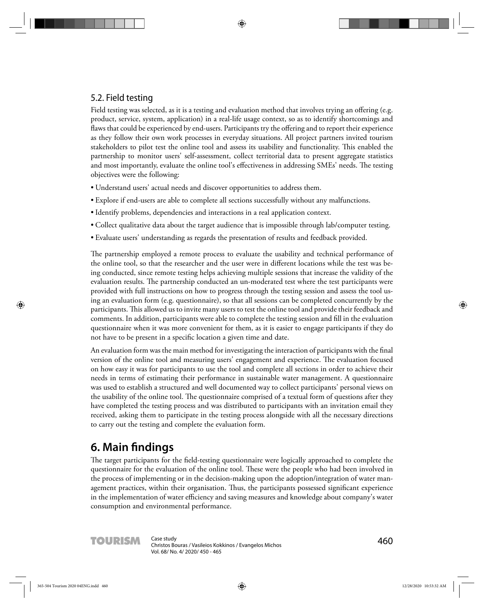### 5.2. Field testing

Field testing was selected, as it is a testing and evaluation method that involves trying an offering (e.g. product, service, system, application) in a real-life usage context, so as to identify shortcomings and flaws that could be experienced by end-users. Participants try the offering and to report their experience as they follow their own work processes in everyday situations. All project partners invited tourism stakeholders to pilot test the online tool and assess its usability and functionality. This enabled the partnership to monitor users' self-assessment, collect territorial data to present aggregate statistics and most importantly, evaluate the online tool's effectiveness in addressing SMEs' needs. The testing objectives were the following:

- Understand users' actual needs and discover opportunities to address them.
- Explore if end-users are able to complete all sections successfully without any malfunctions.
- Identify problems, dependencies and interactions in a real application context.
- Collect qualitative data about the target audience that is impossible through lab/computer testing.
- Evaluate users' understanding as regards the presentation of results and feedback provided.

The partnership employed a remote process to evaluate the usability and technical performance of the online tool, so that the researcher and the user were in different locations while the test was being conducted, since remote testing helps achieving multiple sessions that increase the validity of the evaluation results. The partnership conducted an un-moderated test where the test participants were provided with full instructions on how to progress through the testing session and assess the tool using an evaluation form (e.g. questionnaire), so that all sessions can be completed concurrently by the participants. This allowed us to invite many users to test the online tool and provide their feedback and comments. In addition, participants were able to complete the testing session and fill in the evaluation questionnaire when it was more convenient for them, as it is easier to engage participants if they do not have to be present in a specific location a given time and date.

An evaluation form was the main method for investigating the interaction of participants with the final version of the online tool and measuring users' engagement and experience. The evaluation focused on how easy it was for participants to use the tool and complete all sections in order to achieve their needs in terms of estimating their performance in sustainable water management. A questionnaire was used to establish a structured and well documented way to collect participants' personal views on the usability of the online tool. The questionnaire comprised of a textual form of questions after they have completed the testing process and was distributed to participants with an invitation email they received, asking them to participate in the testing process alongside with all the necessary directions to carry out the testing and complete the evaluation form.

## **6. Main fi ndings**

The target participants for the field-testing questionnaire were logically approached to complete the questionnaire for the evaluation of the online tool. These were the people who had been involved in the process of implementing or in the decision-making upon the adoption/integration of water management practices, within their organisation. Thus, the participants possessed significant experience in the implementation of water efficiency and saving measures and knowledge about company's water consumption and environmental performance.

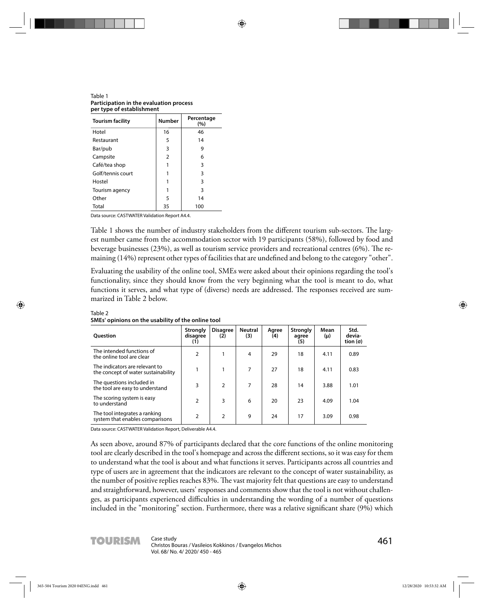Table 1 **Participation in the evaluation process per type of establishment**

| <b>Tourism facility</b> | <b>Number</b> | Percentage<br>(%) |  |  |
|-------------------------|---------------|-------------------|--|--|
| Hotel                   | 16            | 46                |  |  |
| Restaurant              | 5             | 14                |  |  |
| Bar/pub                 | 3             | 9                 |  |  |
| Campsite                | 2             | 6                 |  |  |
| Café/tea shop           | 1             | 3                 |  |  |
| Golf/tennis court       |               | 3                 |  |  |
| Hostel                  | 1             | 3                 |  |  |
| Tourism agency          | 1             | 3                 |  |  |
| Other                   | 5             | 14                |  |  |
| Total                   | 35            | 100               |  |  |

Data source: CASTWATER Validation Report A4.4.

Table 1 shows the number of industry stakeholders from the different tourism sub-sectors. The largest number came from the accommodation sector with 19 participants (58%), followed by food and beverage businesses (23%), as well as tourism service providers and recreational centres (6%). The remaining (14%) represent other types of facilities that are undefined and belong to the category "other".

Evaluating the usability of the online tool, SMEs were asked about their opinions regarding the tool's functionality, since they should know from the very beginning what the tool is meant to do, what functions it serves, and what type of (diverse) needs are addressed. The responses received are summarized in Table 2 below.

| <b>Ouestion</b>                                                       | Strongly<br>disagree<br>(1) | <b>Disagree</b><br>(2) | <b>Neutral</b><br>(3) | Agree<br>(4) | <b>Strongly</b><br>agree<br>(5) | Mean<br>(μ) | Std.<br>devia-<br>tion (σ) |
|-----------------------------------------------------------------------|-----------------------------|------------------------|-----------------------|--------------|---------------------------------|-------------|----------------------------|
| The intended functions of<br>the online tool are clear                | $\overline{2}$              |                        | 4                     | 29           | 18                              | 4.11        | 0.89                       |
| The indicators are relevant to<br>the concept of water sustainability |                             |                        | 7                     | 27           | 18                              | 4.11        | 0.83                       |
| The questions included in<br>the tool are easy to understand          | 3                           | $\overline{2}$         | 7                     | 28           | 14                              | 3.88        | 1.01                       |
| The scoring system is easy<br>to understand                           | $\mathcal{P}$               | 3                      | 6                     | 20           | 23                              | 4.09        | 1.04                       |
| The tool integrates a ranking<br>system that enables comparisons      | 2                           | 2                      | 9                     | 24           | 17                              | 3.09        | 0.98                       |

Table 2 **SMEs' opinions on the usability of the online tool**

Data source: CASTWATER Validation Report, Deliverable A4.4.

As seen above, around 87% of participants declared that the core functions of the online monitoring tool are clearly described in the tool's homepage and across the different sections, so it was easy for them to understand what the tool is about and what functions it serves. Participants across all countries and type of users are in agreement that the indicators are relevant to the concept of water sustainability, as the number of positive replies reaches 83%. The vast majority felt that questions are easy to understand and straightforward, however, users' responses and comments show that the tool is not without challenges, as participants experienced difficulties in understanding the wording of a number of questions included in the "monitoring" section. Furthermore, there was a relative significant share (9%) which

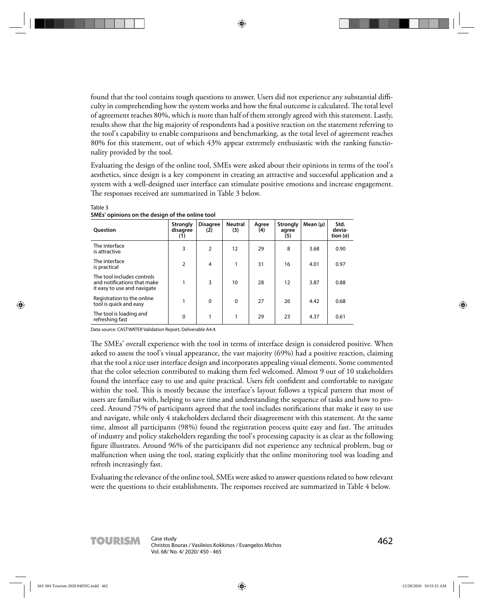found that the tool contains tough questions to answer. Users did not experience any substantial difficulty in comprehending how the system works and how the final outcome is calculated. The total level of agreement reaches 80%, which is more than half of them strongly agreed with this statement. Lastly, results show that the big majority of respondents had a positive reaction on the statement referring to the tool's capability to enable comparisons and benchmarking, as the total level of agreement reaches 80% for this statement, out of which 43% appear extremely enthusiastic with the ranking functionality provided by the tool.

Evaluating the design of the online tool, SMEs were asked about their opinions in terms of the tool's aesthetics, since design is a key component in creating an attractive and successful application and a system with a well-designed user interface can stimulate positive emotions and increase engagement. The responses received are summarized in Table 3 below.

| <b>Ouestion</b>                                                                          | <b>Strongly</b><br>disagree<br>(1) | <b>Disagree</b><br>(2) | <b>Neutral</b><br>(3) | Agree<br>(4) | <b>Strongly</b><br>agree<br>(5) | Mean $(\mu)$ | Std.<br>devia-<br>tion (σ) |
|------------------------------------------------------------------------------------------|------------------------------------|------------------------|-----------------------|--------------|---------------------------------|--------------|----------------------------|
| The interface<br>is attractive                                                           | 3                                  | 2                      | 12                    | 29           | 8                               | 3.68         | 0.90                       |
| The interface<br>is practical                                                            | 2                                  | 4                      | 1                     | 31           | 16                              | 4.01         | 0.97                       |
| The tool includes controls<br>and notifications that make<br>it easy to use and navigate | 1                                  | 3                      | 10                    | 28           | 12                              | 3.87         | 0.88                       |
| Registration to the online<br>tool is quick and easy                                     |                                    | $\Omega$               | $\Omega$              | 27           | 26                              | 4.42         | 0.68                       |
| The tool is loading and<br>refreshing fast                                               | 0                                  |                        | 1                     | 29           | 23                              | 4.37         | 0.61                       |

**SMEs' opinions on the design of the online tool**

Table 3

Data source: CASTWATER Validation Report, Deliverable A4.4.

The SMEs' overall experience with the tool in terms of interface design is considered positive. When asked to assess the tool's visual appearance, the vast majority (69%) had a positive reaction, claiming that the tool a nice user interface design and incorporates appealing visual elements. Some commented that the color selection contributed to making them feel welcomed. Almost 9 out of 10 stakeholders found the interface easy to use and quite practical. Users felt confident and comfortable to navigate within the tool. This is mostly because the interface's layout follows a typical pattern that most of users are familiar with, helping to save time and understanding the sequence of tasks and how to proceed. Around 75% of participants agreed that the tool includes notifications that make it easy to use and navigate, while only 4 stakeholders declared their disagreement with this statement. At the same time, almost all participants (98%) found the registration process quite easy and fast. The attitudes of industry and policy stakeholders regarding the tool's processing capacity is as clear as the following figure illustrates. Around 96% of the participants did not experience any technical problem, bug or malfunction when using the tool, stating explicitly that the online monitoring tool was loading and refresh increasingly fast.

Evaluating the relevance of the online tool, SMEs were asked to answer questions related to how relevant were the questions to their establishments. The responses received are summarized in Table 4 below.

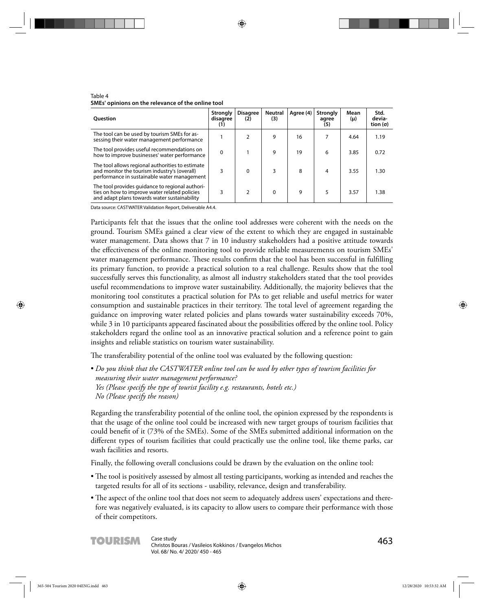| <b>Ouestion</b>                                                                                                                                  | <b>Strongly</b><br>disagree<br>(1) | <b>Disagree</b><br>(2) | <b>Neutral</b><br>(3) | Agree (4) | Strongly<br>agree<br>(5) | Mean<br>(μ) | Std.<br>devia-<br>tion (σ) |
|--------------------------------------------------------------------------------------------------------------------------------------------------|------------------------------------|------------------------|-----------------------|-----------|--------------------------|-------------|----------------------------|
| The tool can be used by tourism SMEs for as-<br>sessing their water management performance                                                       |                                    |                        | 9                     | 16        | 7                        | 4.64        | 1.19                       |
| The tool provides useful recommendations on<br>how to improve businesses' water performance                                                      | 0                                  |                        | 9                     | 19        | 6                        | 3.85        | 0.72                       |
| The tool allows regional authorities to estimate<br>and monitor the tourism industry's (overall)<br>performance in sustainable water management  | 3                                  | $\Omega$               | 3                     | 8         | $\overline{4}$           | 3.55        | 1.30                       |
| The tool provides quidance to regional authori-<br>ties on how to improve water related policies<br>and adapt plans towards water sustainability | 3                                  | C.                     | 0                     | 9         | 5                        | 3.57        | 1.38                       |

Table 4 **SMEs' opinions on the relevance of the online tool**

Data source: CASTWATER Validation Report, Deliverable A4.4.

Participants felt that the issues that the online tool addresses were coherent with the needs on the ground. Tourism SMEs gained a clear view of the extent to which they are engaged in sustainable water management. Data shows that 7 in 10 industry stakeholders had a positive attitude towards the effectiveness of the online monitoring tool to provide reliable measurements on tourism SMEs' water management performance. These results confirm that the tool has been successful in fulfilling its primary function, to provide a practical solution to a real challenge. Results show that the tool successfully serves this functionality, as almost all industry stakeholders stated that the tool provides useful recommendations to improve water sustainability. Additionally, the majority believes that the monitoring tool constitutes a practical solution for PAs to get reliable and useful metrics for water consumption and sustainable practices in their territory. The total level of agreement regarding the guidance on improving water related policies and plans towards water sustainability exceeds 70%, while 3 in 10 participants appeared fascinated about the possibilities offered by the online tool. Policy stakeholders regard the online tool as an innovative practical solution and a reference point to gain insights and reliable statistics on tourism water sustainability.

The transferability potential of the online tool was evaluated by the following question:

• *Do you think that the CASTWATER online tool can be used by other types of tourism facilities for measuring their water management performance? Yes (Please specify the type of tourist facility e.g. restaurants, hotels etc.) No (Please specify the reason)*

Regarding the transferability potential of the online tool, the opinion expressed by the respondents is that the usage of the online tool could be increased with new target groups of tourism facilities that could benefit of it (73% of the SMEs). Some of the SMEs submitted additional information on the different types of tourism facilities that could practically use the online tool, like theme parks, car wash facilities and resorts.

Finally, the following overall conclusions could be drawn by the evaluation on the online tool:

- The tool is positively assessed by almost all testing participants, working as intended and reaches the targeted results for all of its sections - usability, relevance, design and transferability.
- The aspect of the online tool that does not seem to adequately address users' expectations and therefore was negatively evaluated, is its capacity to allow users to compare their performance with those of their competitors.

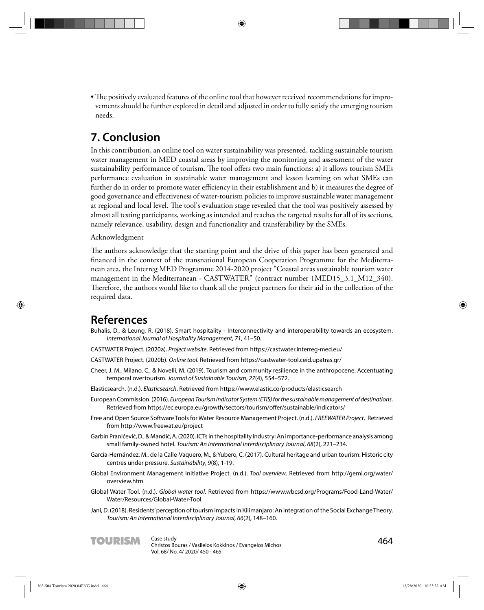• The positively evaluated features of the online tool that however received recommendations for improvements should be further explored in detail and adjusted in order to fully satisfy the emerging tourism needs.

## **7. Conclusion**

In this contribution, an online tool on water sustainability was presented, tackling sustainable tourism water management in MED coastal areas by improving the monitoring and assessment of the water sustainability performance of tourism. The tool offers two main functions: a) it allows tourism SMEs performance evaluation in sustainable water management and lesson learning on what SMEs can further do in order to promote water efficiency in their establishment and b) it measures the degree of good governance and effectiveness of water-tourism policies to improve sustainable water management at regional and local level. The tool's evaluation stage revealed that the tool was positively assessed by almost all testing participants, working as intended and reaches the targeted results for all of its sections, namely relevance, usability, design and functionality and transferability by the SMEs.

### Acknowledgment

The authors acknowledge that the starting point and the drive of this paper has been generated and financed in the context of the transnational European Cooperation Programme for the Mediterranean area, the Interreg MED Programme 2014-2020 project "Coastal areas sustainable tourism water management in the Mediterranean - CASTWATER" (contract number 1MED15\_3.1\_M12\_340). Therefore, the authors would like to thank all the project partners for their aid in the collection of the required data.

### **References**

- Buhalis, D., & Leung, R. (2018). Smart hospitality Interconnectivity and interoperability towards an ecosystem. International Journal of Hospitality Management, 71, 41–50.
- CASTWATER Project. (2020a). Project website. Retrieved from https://castwater.interreg-med.eu/
- CASTWATER Project. (2020b). Online tool. Retrieved from https://castwater-tool.ceid.upatras.gr/
- Cheer, J. M., Milano, C., & Novelli, M. (2019). Tourism and community resilience in the anthropocene: Accentuating temporal overtourism. Journal of Sustainable Tourism, 27(4), 554–572.
- Elasticsearch. (n.d.). Elasticsearch. Retrieved from https://www.elastic.co/products/elasticsearch
- European Commission. (2016). European Tourism Indicator System (ETIS) for the sustainable management of destinations. Retrieved from https://ec.europa.eu/growth/sectors/tourism/offer/sustainable/indicators/
- Free and Open Source Software Tools for Water Resource Management Project. (n.d.). FREEWATER Project. Retrieved from http://www.freewat.eu/project
- Garbin Praničević, D., & Mandić, A. (2020). ICTs in the hospitality industry: An importance-performance analysis among small family-owned hotel. Tourism: An International Interdisciplinary Journal, 68(2), 221–234.
- García-Hernández, M., de la Calle-Vaquero, M., & Yubero, C. (2017). Cultural heritage and urban tourism: Historic city centres under pressure. Sustainability, 9(8), 1-19.
- Global Environment Management Initiative Project. (n.d.). Tool overview. Retrieved from http://gemi.org/water/ overview.htm
- Global Water Tool. (n.d.). Global water tool. Retrieved from https://www.wbcsd.org/Programs/Food-Land-Water/ Water/Resources/Global-Water-Tool
- Jani, D. (2018). Residents' perception of tourism impacts in Kilimanjaro: An integration of the Social Exchange Theory. Tourism: An International Interdisciplinary Journal, 66(2), 148–160.